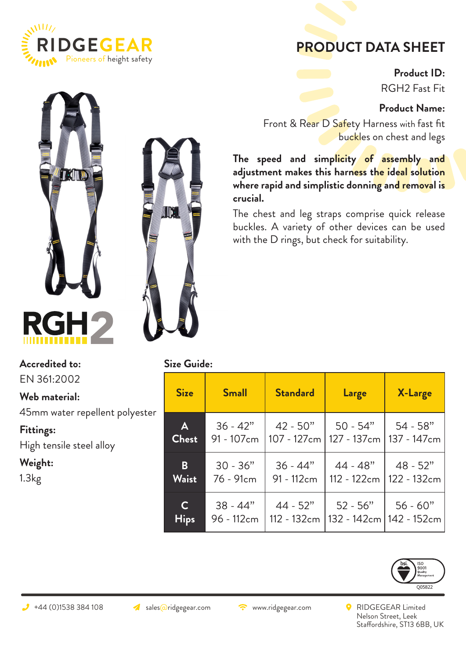

## **PRODUCT DATA SHEET**

**Product ID:** RGH2 Fast Fit

**Product Name:**

Front & Rear D Safety Harness with fast fit buckles on chest and legs

**The speed and simplicity of assembly and adjustment makes this harness the ideal solution where rapid and simplistic donning and removal is crucial.**

The chest and leg straps comprise quick release buckles. A variety of other devices can be used with the D rings, but check for suitability.





**Accredited to:**

EN 361:2002

**Web material:** 

45mm water repellent polyester

**Fittings:**

High tensile steel alloy

**Weight:**

1.3kg

| <b>Size Guide:</b> |  |  |
|--------------------|--|--|
|                    |  |  |

| <b>Size</b>  | <b>Small</b> | <b>Standard</b> | Large       | X-Large                 |  |
|--------------|--------------|-----------------|-------------|-------------------------|--|
| A            | $36 - 42"$   | $42 - 50"$      | $50 - 54"$  | $54 - 58"$              |  |
| <b>Chest</b> | 91 - 107cm   | 107 - 127cm     | 127 - 137cm | 137 - 147 <sub>cm</sub> |  |
| $\mathbf{B}$ | $30 - 36"$   | $36 - 44"$      | $44 - 48"$  | $48 - 52"$              |  |
| <b>Waist</b> | 76 - 91cm    | 91 - 112cm      | 112 - 122cm | 122 - 132cm             |  |
| $\mathbf C$  | $38 - 44"$   | $44 - 52"$      | $52 - 56"$  | $56 - 60"$              |  |
| <b>Hips</b>  | 96 - 112cm   | 112 - 132cm     | 132 - 142cm | 142 - 152cm             |  |



 $\rightarrow$  +44 (0)1538 384 108  $\rightarrow$  sales@ridgegear.com  $\rightarrow$  www.ridgegear.com  $\rightarrow$  RIDGEGEAR Limited Nelson Street, Leek Staffordshire, ST13 6BB, UK